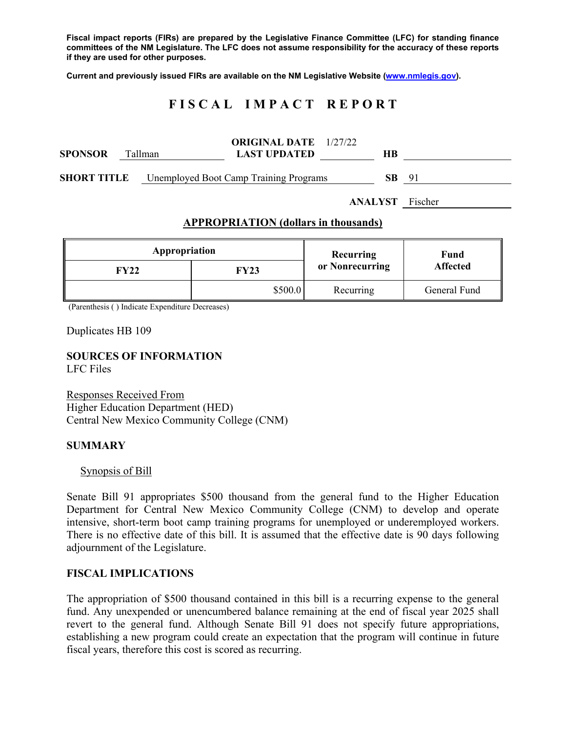**Fiscal impact reports (FIRs) are prepared by the Legislative Finance Committee (LFC) for standing finance committees of the NM Legislature. The LFC does not assume responsibility for the accuracy of these reports if they are used for other purposes.** 

**Current and previously issued FIRs are available on the NM Legislative Website (www.nmlegis.gov).** 

# **F I S C A L I M P A C T R E P O R T**

| <b>SPONSOR</b>     | Tallman | <b>ORIGINAL DATE</b> 1/27/22<br><b>LAST UPDATED</b> | HВ  |     |
|--------------------|---------|-----------------------------------------------------|-----|-----|
| <b>SHORT TITLE</b> |         | <b>Unemployed Boot Camp Training Programs</b>       | SB. | -91 |
|                    |         |                                                     |     |     |

**ANALYST** Fischer

#### **APPROPRIATION (dollars in thousands)**

| Appropriation |         | Recurring       | Fund<br><b>Affected</b> |  |
|---------------|---------|-----------------|-------------------------|--|
| FY22          | FY23    | or Nonrecurring |                         |  |
|               | \$500.0 | Recurring       | General Fund            |  |

(Parenthesis ( ) Indicate Expenditure Decreases)

Duplicates HB 109

# **SOURCES OF INFORMATION**

LFC Files

Responses Received From Higher Education Department (HED) Central New Mexico Community College (CNM)

#### **SUMMARY**

#### Synopsis of Bill

Senate Bill 91 appropriates \$500 thousand from the general fund to the Higher Education Department for Central New Mexico Community College (CNM) to develop and operate intensive, short-term boot camp training programs for unemployed or underemployed workers. There is no effective date of this bill. It is assumed that the effective date is 90 days following adjournment of the Legislature.

## **FISCAL IMPLICATIONS**

The appropriation of \$500 thousand contained in this bill is a recurring expense to the general fund. Any unexpended or unencumbered balance remaining at the end of fiscal year 2025 shall revert to the general fund. Although Senate Bill 91 does not specify future appropriations, establishing a new program could create an expectation that the program will continue in future fiscal years, therefore this cost is scored as recurring.